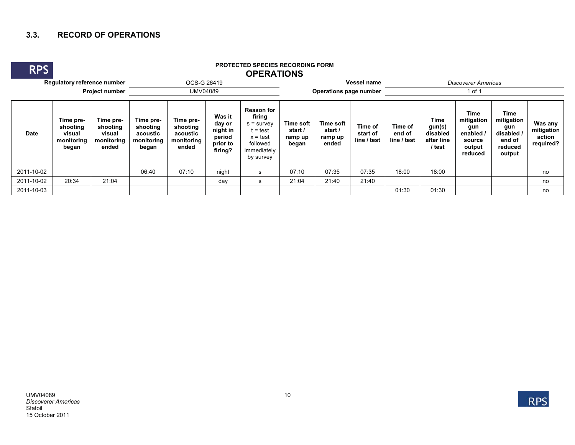## **3.3. RECORD OF OPERATIONS**

**RPS**

## **PROTECTED SPECIES RECORDING FORM OPERATIONS**

|                       | Regulatory reference number                            |                                                        |                                                          | OCS-G 26419                                              |                                                               |                                                                                                              | <b>Vessel name</b>                       |                                                 |                                    | <b>Discoverer Americas</b>       |                                                           |                                                                     |                                                                        |                                              |  |  |
|-----------------------|--------------------------------------------------------|--------------------------------------------------------|----------------------------------------------------------|----------------------------------------------------------|---------------------------------------------------------------|--------------------------------------------------------------------------------------------------------------|------------------------------------------|-------------------------------------------------|------------------------------------|----------------------------------|-----------------------------------------------------------|---------------------------------------------------------------------|------------------------------------------------------------------------|----------------------------------------------|--|--|
| <b>Project number</b> |                                                        |                                                        |                                                          | <b>UMV04089</b>                                          |                                                               |                                                                                                              | <b>Operations page number</b>            |                                                 |                                    | 1 of 1                           |                                                           |                                                                     |                                                                        |                                              |  |  |
| <b>Date</b>           | Time pre-<br>shooting<br>visual<br>monitoring<br>began | Time pre-<br>shooting<br>visual<br>monitoring<br>ended | Time pre-<br>shooting<br>acoustic<br>monitoring<br>began | Time pre-<br>shooting<br>acoustic<br>monitoring<br>ended | Was it<br>day or<br>night in<br>period<br>prior to<br>firing? | <b>Reason for</b><br>firing<br>$s =$ survey<br>∶= test<br>$x = test$<br>followed<br>immediately<br>by survey | Time soft<br>start /<br>ramp up<br>began | <b>Time soft</b><br>start /<br>ramp up<br>ended | Time of<br>start of<br>line / test | Time of<br>end of<br>line / test | <b>Time</b><br>gun(s)<br>disabled<br>after line<br>/ test | Time<br>mitigation<br>gun<br>enabled<br>source<br>output<br>reduced | Time<br>mitigation<br>gun<br>disabled /<br>end of<br>reduced<br>output | Was any<br>mitigation<br>action<br>required? |  |  |
| 2011-10-02            |                                                        |                                                        | 06:40                                                    | 07:10                                                    | night                                                         | -S                                                                                                           | 07:10                                    | 07:35                                           | 07:35                              | 18:00                            | 18:00                                                     |                                                                     |                                                                        | no                                           |  |  |
| 2011-10-02            | 20:34                                                  | 21:04                                                  |                                                          |                                                          | day                                                           | <b>s</b>                                                                                                     | 21:04                                    | 21:40                                           | 21:40                              |                                  |                                                           |                                                                     |                                                                        | no                                           |  |  |
| 2011-10-03            |                                                        |                                                        |                                                          |                                                          |                                                               |                                                                                                              |                                          |                                                 |                                    | 01:30                            | 01:30                                                     |                                                                     |                                                                        | no                                           |  |  |